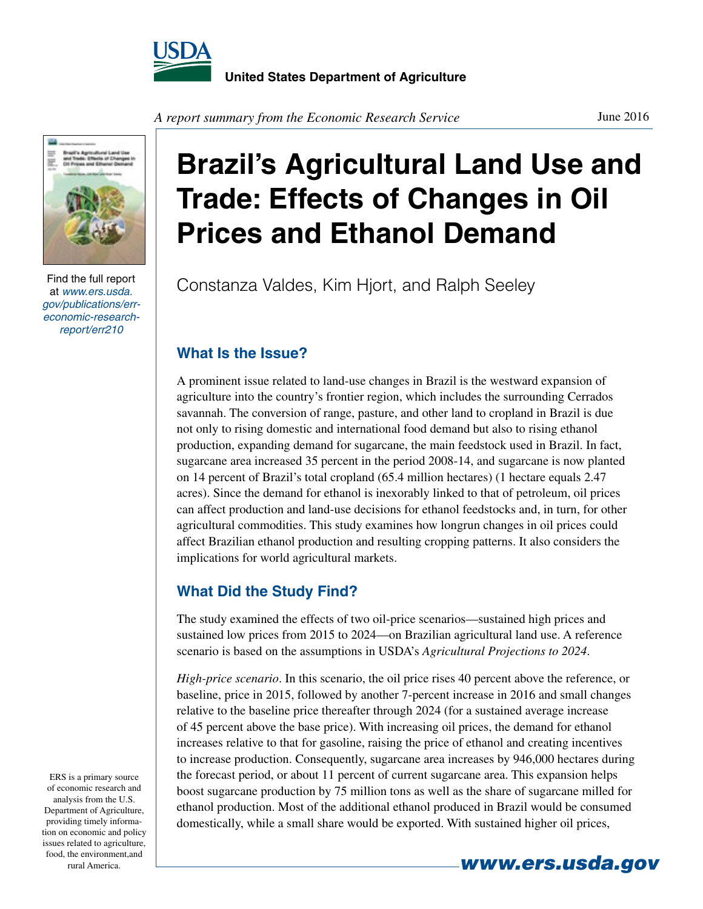



Find the full report at *www.ers.usda. gov/publications/erreconomic-researchreport/err210*

**Brazil's Agricultural Land Use and Trade: Effects of Changes in Oil Prices and Ethanol Demand**

Constanza Valdes, Kim Hjort, and Ralph Seeley

## **What Is the Issue?**

A prominent issue related to land-use changes in Brazil is the westward expansion of agriculture into the country's frontier region, which includes the surrounding Cerrados savannah. The conversion of range, pasture, and other land to cropland in Brazil is due not only to rising domestic and international food demand but also to rising ethanol production, expanding demand for sugarcane, the main feedstock used in Brazil. In fact, sugarcane area increased 35 percent in the period 2008-14, and sugarcane is now planted on 14 percent of Brazil's total cropland (65.4 million hectares) (1 hectare equals 2.47 acres). Since the demand for ethanol is inexorably linked to that of petroleum, oil prices can affect production and land-use decisions for ethanol feedstocks and, in turn, for other agricultural commodities. This study examines how longrun changes in oil prices could affect Brazilian ethanol production and resulting cropping patterns. It also considers the implications for world agricultural markets.

## **What Did the Study Find?**

The study examined the effects of two oil-price scenarios—sustained high prices and sustained low prices from 2015 to 2024—on Brazilian agricultural land use. A reference scenario is based on the assumptions in USDA's *Agricultural Projections to 2024*.

*High-price scenario*. In this scenario, the oil price rises 40 percent above the reference, or baseline, price in 2015, followed by another 7-percent increase in 2016 and small changes relative to the baseline price thereafter through 2024 (for a sustained average increase of 45 percent above the base price). With increasing oil prices, the demand for ethanol increases relative to that for gasoline, raising the price of ethanol and creating incentives to increase production. Consequently, sugarcane area increases by 946,000 hectares during the forecast period, or about 11 percent of current sugarcane area. This expansion helps boost sugarcane production by 75 million tons as well as the share of sugarcane milled for ethanol production. Most of the additional ethanol produced in Brazil would be consumed domestically, while a small share would be exported. With sustained higher oil prices,

ERS is a primary source of economic research and analysis from the U.S. Department of Agriculture, providing timely information on economic and policy issues related to agriculture, food, the environment,and

**rural America.** *www.ers.usda.gov*